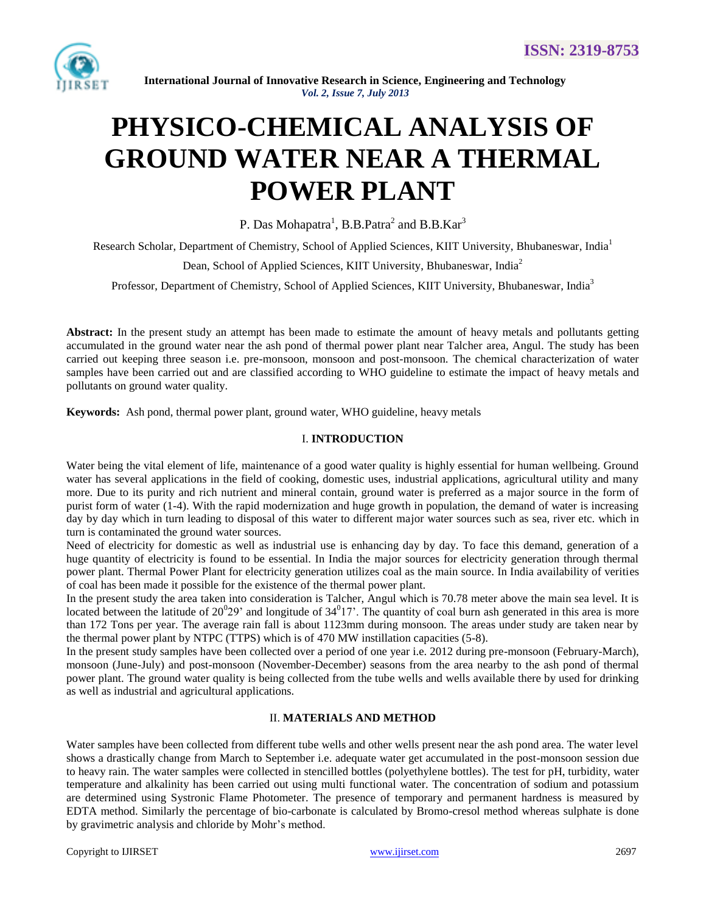

**International Journal of Innovative Research in Science, Engineering and Technology** *Vol. 2, Issue 7, July 2013*

# **PHYSICO-CHEMICAL ANALYSIS OF GROUND WATER NEAR A THERMAL POWER PLANT**

P. Das Mohapatra<sup>1</sup>, B.B.Patra<sup>2</sup> and B.B.Kar<sup>3</sup>

Research Scholar, Department of Chemistry, School of Applied Sciences, KIIT University, Bhubaneswar, India<sup>1</sup>

Dean, School of Applied Sciences, KIIT University, Bhubaneswar, India<sup>2</sup>

Professor, Department of Chemistry, School of Applied Sciences, KIIT University, Bhubaneswar, India<sup>3</sup>

**Abstract:** In the present study an attempt has been made to estimate the amount of heavy metals and pollutants getting accumulated in the ground water near the ash pond of thermal power plant near Talcher area, Angul. The study has been carried out keeping three season i.e. pre-monsoon, monsoon and post-monsoon. The chemical characterization of water samples have been carried out and are classified according to WHO guideline to estimate the impact of heavy metals and pollutants on ground water quality.

**Keywords:** Ash pond, thermal power plant, ground water, WHO guideline, heavy metals

#### I. **INTRODUCTION**

Water being the vital element of life, maintenance of a good water quality is highly essential for human wellbeing. Ground water has several applications in the field of cooking, domestic uses, industrial applications, agricultural utility and many more. Due to its purity and rich nutrient and mineral contain, ground water is preferred as a major source in the form of purist form of water (1-4). With the rapid modernization and huge growth in population, the demand of water is increasing day by day which in turn leading to disposal of this water to different major water sources such as sea, river etc. which in turn is contaminated the ground water sources.

Need of electricity for domestic as well as industrial use is enhancing day by day. To face this demand, generation of a huge quantity of electricity is found to be essential. In India the major sources for electricity generation through thermal power plant. Thermal Power Plant for electricity generation utilizes coal as the main source. In India availability of verities of coal has been made it possible for the existence of the thermal power plant.

In the present study the area taken into consideration is Talcher, Angul which is 70.78 meter above the main sea level. It is located between the latitude of  $20^029$  and longitude of  $34^017$ . The quantity of coal burn ash generated in this area is more than 172 Tons per year. The average rain fall is about 1123mm during monsoon. The areas under study are taken near by the thermal power plant by NTPC (TTPS) which is of 470 MW instillation capacities (5-8).

In the present study samples have been collected over a period of one year i.e. 2012 during pre-monsoon (February-March), monsoon (June-July) and post-monsoon (November-December) seasons from the area nearby to the ash pond of thermal power plant. The ground water quality is being collected from the tube wells and wells available there by used for drinking as well as industrial and agricultural applications.

### II. **MATERIALS AND METHOD**

Water samples have been collected from different tube wells and other wells present near the ash pond area. The water level shows a drastically change from March to September i.e. adequate water get accumulated in the post-monsoon session due to heavy rain. The water samples were collected in stencilled bottles (polyethylene bottles). The test for pH, turbidity, water temperature and alkalinity has been carried out using multi functional water. The concentration of sodium and potassium are determined using Systronic Flame Photometer. The presence of temporary and permanent hardness is measured by EDTA method. Similarly the percentage of bio-carbonate is calculated by Bromo-cresol method whereas sulphate is done by gravimetric analysis and chloride by Mohr's method.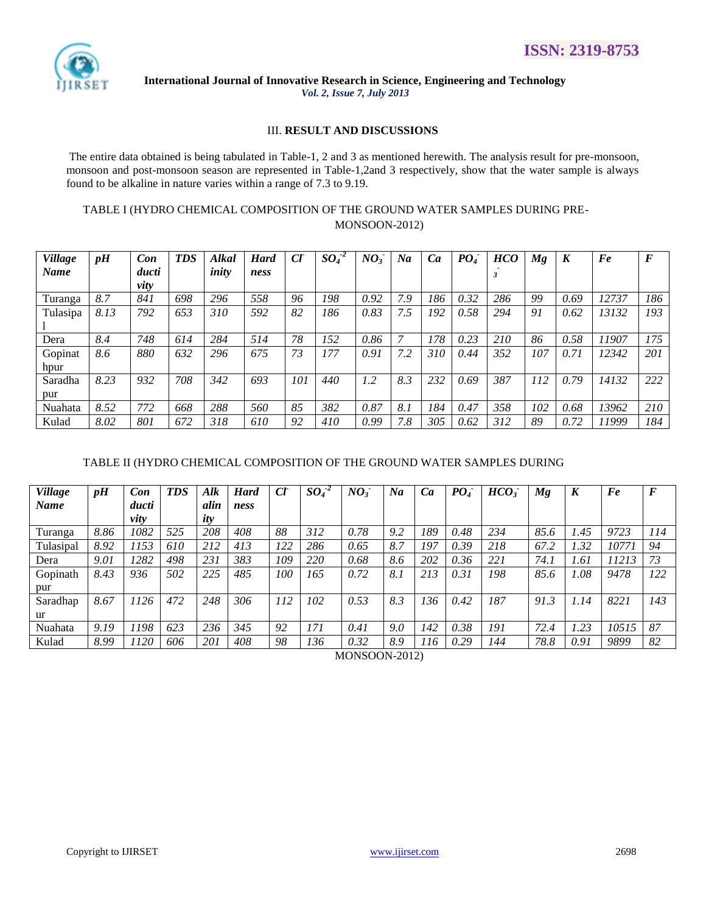

International Journal of Innovative Research in Science, Engineering and Technology Vol. 2, Issue 7, July 2013

### **III. RESULT AND DISCUSSIONS**

The entire data obtained is being tabulated in Table-1, 2 and 3 as mentioned herewith. The analysis result for pre-monsoon, monsoon and post-monsoon season are represented in Table-1,2and 3 respectively, show that the water sample is always found to be alkaline in nature varies within a range of 7.3 to 9.19.

# TABLE I (HYDRO CHEMICAL COMPOSITION OF THE GROUND WATER SAMPLES DURING PRE-MONSOON-2012)

| <b>Village</b> | pH   | Con   | <b>TDS</b> | Alkal | <b>Hard</b> | $\mathfrak{C}^r$ | $SO_4^2$ | $NO_3^-$ | Na  | Ca  | PO <sub>4</sub> | <b>HCO</b> | Mg  | K    | Fe    | $\bm{F}$ |
|----------------|------|-------|------------|-------|-------------|------------------|----------|----------|-----|-----|-----------------|------------|-----|------|-------|----------|
| <b>Name</b>    |      | ducti |            | inity | ness        |                  |          |          |     |     |                 |            |     |      |       |          |
|                |      | vity  |            |       |             |                  |          |          |     |     |                 |            |     |      |       |          |
| Turanga        | 8.7  | 841   | 698        | 296   | 558         | 96               | 198      | 0.92     | 7.9 | 186 | 0.32            | 286        | 99  | 0.69 | 12737 | 186      |
| Tulasipa       | 8.13 | 792   | 653        | 310   | 592         | 82               | 186      | 0.83     | 7.5 | 192 | 0.58            | 294        | 91  | 0.62 | 13132 | 193      |
|                |      |       |            |       |             |                  |          |          |     |     |                 |            |     |      |       |          |
| Dera           | 8.4  | 748   | 614        | 284   | 514         | 78               | 152      | 0.86     |     | 178 | 0.23            | 210        | 86  | 0.58 | 11907 | 175      |
| Gopinat        | 8.6  | 880   | 632        | 296   | 675         | 73               | 177      | 0.91     | 7.2 | 310 | 0.44            | 352        | 107 | 0.71 | 12342 | 201      |
| hpur           |      |       |            |       |             |                  |          |          |     |     |                 |            |     |      |       |          |
| Saradha        | 8.23 | 932   | 708        | 342   | 693         | 101              | 440      | 1.2      | 8.3 | 232 | 0.69            | 387        | 112 | 0.79 | 14132 | 222      |
| pur            |      |       |            |       |             |                  |          |          |     |     |                 |            |     |      |       |          |
| Nuahata        | 8.52 | 772   | 668        | 288   | 560         | 85               | 382      | 0.87     | 8.1 | 184 | 0.47            | 358        | 102 | 0.68 | 13962 | 210      |
| Kulad          | 8.02 | 801   | 672        | 318   | 610         | 92               | 410      | 0.99     | 7.8 | 305 | 0.62            | 312        | 89  | 0.72 | 11999 | 184      |

# TABLE II (HYDRO CHEMICAL COMPOSITION OF THE GROUND WATER SAMPLES DURING

| <b>Village</b> | pH   | Con   | <b>TDS</b> | Alk  | <b>Hard</b> | $\mathfrak{C}$ | $SO_4^2$ | NO <sub>3</sub> | Na  | Ca  | PO <sub>4</sub> | HCO <sub>3</sub> | Мg   |      | Fe    | $\bm{F}$ |
|----------------|------|-------|------------|------|-------------|----------------|----------|-----------------|-----|-----|-----------------|------------------|------|------|-------|----------|
| <b>Name</b>    |      | ducti |            | alin | ness        |                |          |                 |     |     |                 |                  |      |      |       |          |
|                |      | vity  |            | ity  |             |                |          |                 |     |     |                 |                  |      |      |       |          |
| Turanga        | 8.86 | 1082  | 525        | 208  | 408         | 88             | 312      | 0.78            | 9.2 | 189 | 0.48            | 234              | 85.6 | l.45 | 9723  | 114      |
| Tulasipal      | 8.92 | 1153  | 610        | 212  | 413         | 122            | 286      | 0.65            | 8.7 | 197 | 0.39            | 218              | 67.2 | 1.32 | 10771 | 94       |
| Dera           | 9.01 | 1282  | 498        | 231  | 383         | 109            | 220      | 0.68            | 8.6 | 202 | 0.36            | 221              | 74.1 | 1.61 | 11213 | 73       |
| Gopinath       | 8.43 | 936   | 502        | 225  | 485         | 100            | 165      | 0.72            | 8.1 | 213 | 0.31            | 198              | 85.6 | 1.08 | 9478  | 122      |
| pur            |      |       |            |      |             |                |          |                 |     |     |                 |                  |      |      |       |          |
| Saradhap       | 8.67 | 1126  | 472        | 248  | 306         | 112            | 102      | 0.53            | 8.3 | 136 | 0.42            | 187              | 91.3 | 1.14 | 8221  | 143      |
| ur             |      |       |            |      |             |                |          |                 |     |     |                 |                  |      |      |       |          |
| Nuahata        | 9.19 | 1198  | 623        | 236  | 345         | 92             | 171      | 0.41            | 9.0 | 142 | 0.38            | 191              | 72.4 | 1.23 | 10515 | 87       |
| Kulad          | 8.99 | 1120  | 606        | 201  | 408         | 98             | 136      | 0.32            | 8.9 | 116 | 0.29            | 144              | 78.8 | 0.91 | 9899  | 82       |

MONSOON-2012)